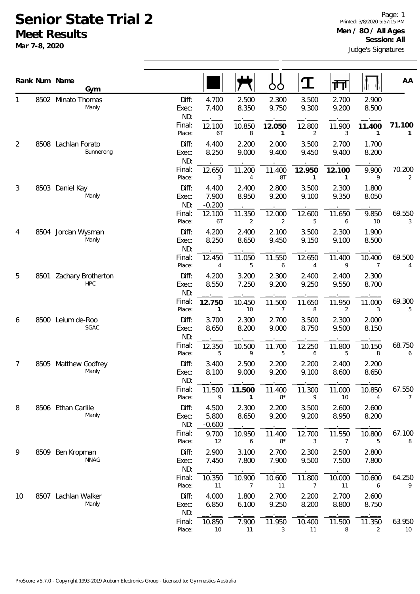## **Senior State Trial 2 Meet Results**

**Mar 7-8, 2020**

|                |      | Rank Num Name<br>Gym             |                       |                            |                | OO                       | $\mathbf T$              | गा                       |                | AA           |
|----------------|------|----------------------------------|-----------------------|----------------------------|----------------|--------------------------|--------------------------|--------------------------|----------------|--------------|
| 1              |      | 8502 Minato Thomas<br>Manly      | Diff:<br>Exec:<br>ND: | 4.700<br>7.400             | 2.500<br>8.350 | 2.300<br>9.750           | 3.500<br>9.300           | 2.700<br>9.200           | 2.900<br>8.500 |              |
|                |      |                                  | Final:<br>Place:      | 12.100<br>6T               | 10.850<br>8    | 12.050<br>$\mathbf{1}$   | 12.800<br>2              | 11.900<br>3              | 11.400<br>1    | 71.100<br>1  |
| $\overline{2}$ | 8508 | Lachlan Forato<br>Bunnerong      | Diff:<br>Exec:<br>ND: | 4.400<br>8.250             | 2.200<br>9.000 | 2.000<br>9.400           | 3.500<br>9.450           | 2.700<br>9.400           | 1.700<br>8.200 |              |
|                |      |                                  | Final:<br>Place:      | 12.650<br>3                | 11.200<br>4    | 11.400<br>8T             | 12.950<br>$\mathbf{1}$   | 12.100<br>1              | 9.900<br>9     | 70.200<br>2  |
| 3              | 8503 | Daniel Kay<br>Manly              | Diff:<br>Exec:<br>ND: | 4.400<br>7.900<br>$-0.200$ | 2.400<br>8.950 | 2.800<br>9.200           | 3.500<br>9.100           | 2.300<br>9.350           | 1.800<br>8.050 |              |
|                |      |                                  | Final:<br>Place:      | 12.100<br>6T               | 11.350<br>2    | 12.000<br>$\overline{2}$ | 12.600<br>5              | 11.650<br>6              | 9.850<br>10    | 69.550<br>3  |
| 4              |      | 8504 Jordan Wysman<br>Manly      | Diff:<br>Exec:<br>ND: | 4.200<br>8.250             | 2.400<br>8.650 | 2.100<br>9.450           | 3.500<br>9.150           | 2.300<br>9.100           | 1.900<br>8.500 |              |
|                |      |                                  | Final:<br>Place:      | 12.450<br>4                | 11.050<br>5    | 11.550<br>6              | 12.650<br>$\overline{4}$ | 11.400<br>9              | 10.400<br>7    | 69.500<br>4  |
| 5              | 8501 | Zachary Brotherton<br><b>HPC</b> | Diff:<br>Exec:<br>ND: | 4.200<br>8.550             | 3.200<br>7.250 | 2.300<br>9.200           | 2.400<br>9.250           | 2.400<br>9.550           | 2.300<br>8.700 |              |
|                |      |                                  | Final:<br>Place:      | 12.750<br>1                | 10.450<br>10   | 11.500<br>7              | 11.650<br>8              | 11.950<br>2              | 11.000<br>3    | 69.300<br>5  |
| 6              | 8500 | Leium de-Roo<br>SGAC             | Diff:<br>Exec:<br>ND: | 3.700<br>8.650             | 2.300<br>8.200 | 2.700<br>9.000           | 3.500<br>8.750           | 2.300<br>9.500           | 2.000<br>8.150 |              |
|                |      |                                  | Final:<br>Place:      | 12.350<br>5                | 10.500<br>9    | 11.700<br>5              | 12.250<br>6              | 11.800<br>5              | 10.150<br>8    | 68.750<br>6  |
| 7              | 8505 | Matthew Godfrey<br>Manly         | Diff:<br>Exec:<br>ND: | 3.400<br>8.100             | 2.500<br>9.000 | 2.200<br>9.200           | 2.200<br>9.100           | 2.400<br>8.600           | 2.200<br>8.650 |              |
|                |      |                                  | Final:<br>Place:      | 11.500<br>9                | 11.500         | 11.400<br>$8*$           | 11.300<br>9              | 11.000<br>10             | 10.850<br>4    | 67.550<br>7  |
| 8              |      | 8506 Ethan Carlile<br>Manly      | Diff:<br>Exec:<br>ND: | 4.500<br>5.800<br>$-0.600$ | 2.300<br>8.650 | 2.200<br>9.200           | 3.500<br>9.200           | 2.600<br>8.950           | 2.600<br>8.200 |              |
|                |      |                                  | Final:<br>Place:      | 9.700<br>12                | 10.950<br>6    | 11.400<br>$8*$           | 12.700<br>3              | 11.550<br>$\overline{7}$ | 10.800<br>5    | 67.100<br>8  |
| 9              | 8509 | Ben Kropman<br><b>NNAG</b>       | Diff:<br>Exec:<br>ND: | 2.900<br>7.450             | 3.100<br>7.800 | 2.700<br>7.900           | 2.300<br>9.500           | 2.500<br>7.500           | 2.800<br>7.800 |              |
|                |      |                                  | Final:<br>Place:      | 10.350<br>11               | 10.900<br>7    | 10.600<br>11             | 11.800<br>7              | 10.000<br>11             | 10.600<br>6    | 64.250<br>9  |
| 10             | 8507 | Lachlan Walker<br>Manly          | Diff:<br>Exec:<br>ND: | 4.000<br>6.850             | 1.800<br>6.100 | 2.700<br>9.250           | 2.200<br>8.200           | 2.700<br>8.800           | 2.600<br>8.750 |              |
|                |      |                                  | Final:<br>Place:      | 10.850<br>10               | 7.900<br>11    | 11.950<br>3              | 10.400<br>11             | 11.500<br>8              | 11.350<br>2    | 63.950<br>10 |